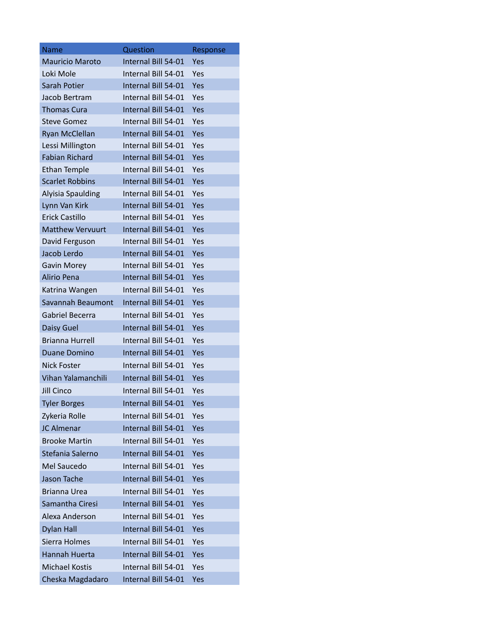| <b>Name</b>              | Question            | Response |
|--------------------------|---------------------|----------|
| <b>Mauricio Maroto</b>   | Internal Bill 54-01 | Yes      |
| Loki Mole                | Internal Bill 54-01 | Yes      |
| <b>Sarah Potier</b>      | Internal Bill 54-01 | Yes      |
| Jacob Bertram            | Internal Bill 54-01 | Yes      |
| <b>Thomas Cura</b>       | Internal Bill 54-01 | Yes      |
| <b>Steve Gomez</b>       | Internal Bill 54-01 | Yes      |
| Ryan McClellan           | Internal Bill 54-01 | Yes      |
| Lessi Millington         | Internal Bill 54-01 | Yes      |
| <b>Fabian Richard</b>    | Internal Bill 54-01 | Yes      |
| <b>Ethan Temple</b>      | Internal Bill 54-01 | Yes      |
| <b>Scarlet Robbins</b>   | Internal Bill 54-01 | Yes      |
| <b>Alyisia Spaulding</b> | Internal Bill 54-01 | Yes      |
| Lynn Van Kirk            | Internal Bill 54-01 | Yes      |
| <b>Frick Castillo</b>    | Internal Bill 54-01 | Yes      |
| <b>Matthew Vervuurt</b>  | Internal Bill 54-01 | Yes      |
| David Ferguson           | Internal Bill 54-01 | Yes      |
| Jacob Lerdo              | Internal Bill 54-01 | Yes      |
| Gavin Morey              | Internal Bill 54-01 | Yes      |
| Alirio Pena              | Internal Bill 54-01 | Yes      |
| Katrina Wangen           | Internal Bill 54-01 | Yes      |
| Savannah Beaumont        | Internal Bill 54-01 | Yes      |
| Gabriel Becerra          | Internal Bill 54-01 | Yes      |
| Daisy Guel               | Internal Bill 54-01 | Yes      |
| <b>Brianna Hurrell</b>   | Internal Bill 54-01 | Yes      |
| Duane Domino             | Internal Bill 54-01 | Yes      |
| <b>Nick Foster</b>       | Internal Bill 54-01 | Yes      |
| Vihan Yalamanchili       | Internal Bill 54-01 | Yes      |
| <b>Jill Cinco</b>        | Internal Bill 54-01 | Yes      |
| <b>Tyler Borges</b>      | Internal Bill 54-01 | Yes      |
| Zykeria Rolle            | Internal Bill 54-01 | Yes      |
| <b>JC Almenar</b>        | Internal Bill 54-01 | Yes      |
| <b>Brooke Martin</b>     | Internal Bill 54-01 | Yes      |
| Stefania Salerno         | Internal Bill 54-01 | Yes      |
| Mel Saucedo              | Internal Bill 54-01 | Yes      |
| Jason Tache              | Internal Bill 54-01 | Yes      |
| <b>Brianna Urea</b>      | Internal Bill 54-01 | Yes      |
| Samantha Ciresi          | Internal Bill 54-01 | Yes      |
| Alexa Anderson           | Internal Bill 54-01 | Yes      |
| <b>Dylan Hall</b>        | Internal Bill 54-01 | Yes      |
| Sierra Holmes            | Internal Bill 54-01 | Yes      |
| Hannah Huerta            | Internal Bill 54-01 | Yes      |
| <b>Michael Kostis</b>    | Internal Bill 54-01 | Yes      |
| Cheska Magdadaro         | Internal Bill 54-01 | Yes      |